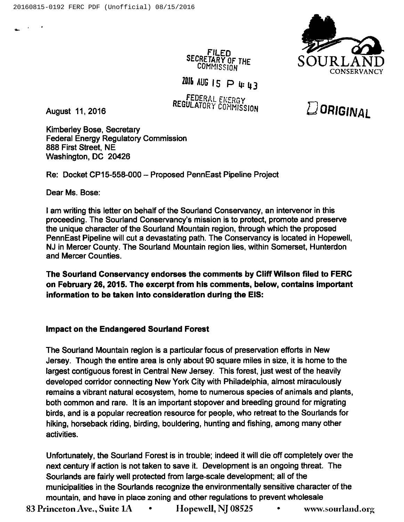

 $D$ ORIGINAL

FILED SECRETARY OF THE **COMMISSION** 

 $2016$  AUG 15  $\supset$  4:43

FEDERAL ENERGY REGULATORY COMMISSION

August 11, 2016

Kimberley Bose, Secretary Federal Energy Regulatory Commission 888 First Street, NE Washington, DC 20426

Re: Docket CP15-558-000 —Proposed PennEast Pipeline Project

Dear Ms. Bose:

<sup>I</sup> am writing this letter on behalf of the Sourland Conservancy, an intervenor in this proceeding. The Sourland Conservancy's mission is to protect, promote and preserve the unique character of the Sourland Mountain region, through which the proposed PennEast Pipeline will cut a devastating path. The Conservancy is located in Hopewell, NJ in Mercer County. The Sourland Mountain region lies, within Somerset, Hunterdon and Mercer Counties.

The Sourland Conservancy endorses the comments by Cliff Wilson filed to FERC on February 26, 2015. The excerpt from his comments, below, contains important information to be taken into consideration during the EIS:

## Impact on the Endangered Sourland Forest

The Sourland Mountain region is a particular focus of preservation efforts in New Jersey. Though the entire area is only about 90 square miles in size, it is home to the largest contiguous forest in Central New Jersey. This forest, just west of the heavily developed corridor connecting New York City with Philadelphia, almost miraculously remains a vibrant natural ecosystem, home to numerous species of animals and plants, both common and rare. It is an important stopover and breeding ground for migrating birds, and is a popular recreation resource for people, who retreat to the Sourlands for hiking, horseback riding, birding, bouldering, hunting and fishing, among many other activities.

Unfortunately, the Sourland Forest is in trouble; indeed it will die off completely over the next century if action is not taken to save it. Development is an ongoing threat. The Sourlands are fairly well protected from large-scale development; all of the municipalities in the Sourlands recognize the environmentally sensitive character of the mountain, and have in place zoning and other regulations to prevent wholesale

83 Princeton Ave., Suite  $1A \cdot \cdot \cdot$ Hopewell, NJ 08525 • www.sourland.org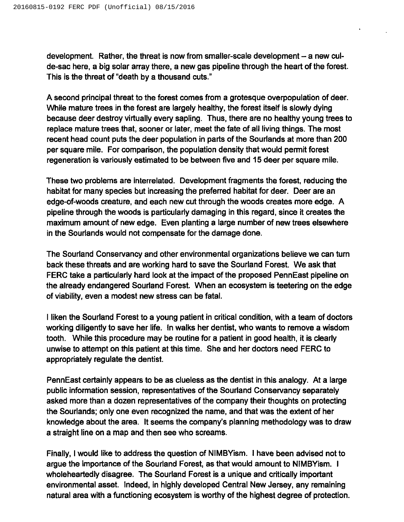development. Rather, the threat is now from smaller-scale development —a new culde-sac here, a big solar array there, a new gas pipeline through the heart of the forest. This is the threat of "death by a thousand cuts."

A second principal threat to the forest comes from a grotesque overpopulation of deer. While mature trees in the forest are largely healthy, the forest itself is slowly dying because deer destroy virtually every sapling. Thus, there are no healthy young trees to replace mature trees that, sooner or later, meet the fate of all living things. The most recent head count puts the deer population in parts of the Sourlands at more than 200 per square mile. For comparison, the population density that would permit forest regeneration is variously estimated to be between five and 15 deer per square mile.

These two problems are interrelated. Development fragments the forest, reducing the habitat for many species but increasing the preferred habitat for deer. Deer are an edge-of-woods creature, and each new cut through the woods creates more edge. A pipeline through the woods is particularly damaging in this regard, since it creates the maximum amount of new edge. Even planting a large number of new trees elsewhere in the Sourlands would not compensate for the damage done.

The Sourland Conservancy and other environmental organizations believe we can turn back these threats and are working hard to save the Sourland Forest. We ask that FERC take a particularly hard look at the impact of the proposed PennEast pipeline on the already endangered Sourland Forest. When an ecosystem is teetering on the edge of viability, even a modest new stress can be fatal.

<sup>I</sup> liken the Sourland Forest to a young patient in critical condition, with a team of doctors working diligently to save her life. In walks her dentist, who wants to remove a wisdom tooth. While this procedure may be routine for a patient in good health, it is clearly unwise to attempt on this patient at this time. She and her doctors need FERC to appropriately regulate the dentist.

PennEast certainly appears to be as clueless as the dentist in this analogy. At a large public information session, representatives of the Sourland Conservancy separately asked more than a dozen representatives of the company their thoughts on protecting the Sourlands; only one even recognized the name, and that was the extent of her knowledge about the area. It seems the company's planning methodology was to draw a straight line on a map and then see who screams.

Finally, <sup>I</sup> would like to address the question of NIMBYism. <sup>I</sup> have been advised not to argue the importance of the Sourland Forest, as that would amount to NIMBYism. <sup>I</sup> wholeheartedly disagree. The Sourland Forest is a unique and critically important environmental asset. Indeed, in highly developed Central New Jersey, any remaining natural area with a functioning ecosystem is worthy of the highest degree of protection.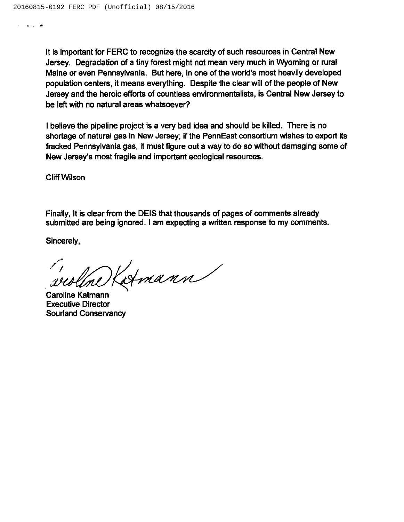It is important for FERC to recognize the scarcity of such resources in Central New Jersey. Degradation of a tiny forest might not mean very much in Wyoming or rural Maine or even Pennsylvania. But here, in one of the world's most heavily developed population centers, it means everything. Despite the clear will of the people of New Jersey and the heroic efforts of countless environmentalists, is Central New Jersey to be left with no natural areas whatsoever?

<sup>I</sup> believe the pipeline project is a very bad idea and should be killed. There is no shortage of natural gas in New Jersey; if the PennEast consortium wishes to export its fracked Pennsylvania gas, it must figure out a way to do so without damaging some of New Jersey's most fragile and important ecological resources.

Cliff Wilson

 $\mathcal{L}=\mathcal{L}(\mathcal{L})$  , and  $\mathcal{L}=\mathcal{L}(\mathcal{L})$ 

Finally, It is clear from the DEIS that thousands of pages of comments already submitted are being ignored. <sup>I</sup> am expecting a written response to my comments.

Sincerely,

Katmann

Caroline Katmann Executive Director Sourland Conservancy